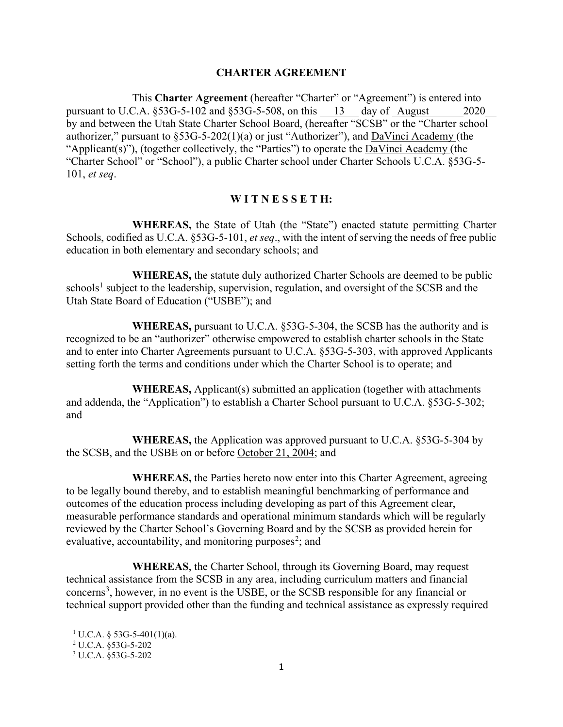#### **CHARTER AGREEMENT**

This **Charter Agreement** (hereafter "Charter" or "Agreement") is entered into pursuant to U.C.A. §53G-5-102 and §53G-5-508, on this 13 day of August 2020 by and between the Utah State Charter School Board, (hereafter "SCSB" or the "Charter school authorizer," pursuant to  $\S$ 53G-5-202(1)(a) or just "Authorizer"), and  $DaV$ inci Academy (the "Applicant(s)"), (together collectively, the "Parties") to operate the DaVinci Academy (the "Charter School" or "School"), a public Charter school under Charter Schools U.C.A. §53G-5- 101, *et seq*.

#### **W I T N E S S E T H:**

**WHEREAS,** the State of Utah (the "State") enacted statute permitting Charter Schools, codified as U.C.A. §53G-5-101, *et seq*., with the intent of serving the needs of free public education in both elementary and secondary schools; and

**WHEREAS,** the statute duly authorized Charter Schools are deemed to be public schools<sup>[1](#page-0-0)</sup> subject to the leadership, supervision, regulation, and oversight of the SCSB and the Utah State Board of Education ("USBE"); and

**WHEREAS,** pursuant to U.C.A. §53G-5-304, the SCSB has the authority and is recognized to be an "authorizer" otherwise empowered to establish charter schools in the State and to enter into Charter Agreements pursuant to U.C.A. §53G-5-303, with approved Applicants setting forth the terms and conditions under which the Charter School is to operate; and

**WHEREAS,** Applicant(s) submitted an application (together with attachments and addenda, the "Application") to establish a Charter School pursuant to U.C.A. §53G-5-302; and

**WHEREAS,** the Application was approved pursuant to U.C.A. §53G-5-304 by the SCSB, and the USBE on or before October 21, 2004; and

**WHEREAS,** the Parties hereto now enter into this Charter Agreement, agreeing to be legally bound thereby, and to establish meaningful benchmarking of performance and outcomes of the education process including developing as part of this Agreement clear, measurable performance standards and operational minimum standards which will be regularly reviewed by the Charter School's Governing Board and by the SCSB as provided herein for evaluative, accountability, and monitoring purposes<sup>[2](#page-0-1)</sup>; and

**WHEREAS**, the Charter School, through its Governing Board, may request technical assistance from the SCSB in any area, including curriculum matters and financial concerns<sup>[3](#page-0-2)</sup>, however, in no event is the USBE, or the SCSB responsible for any financial or technical support provided other than the funding and technical assistance as expressly required

<span id="page-0-0"></span> $1 \text{ U.C.A. }$ § 53G-5-401(1)(a).

<span id="page-0-1"></span><sup>2</sup> U.C.A. §53G-5-202

<span id="page-0-2"></span><sup>3</sup> U.C.A. §53G-5-202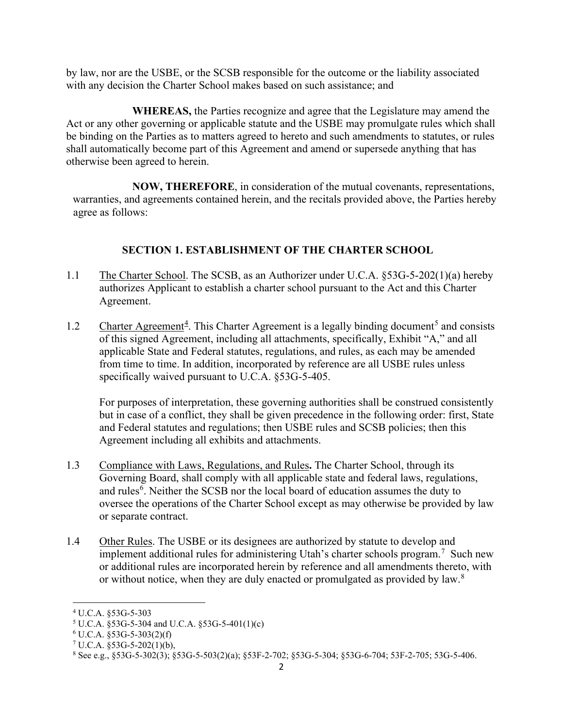by law, nor are the USBE, or the SCSB responsible for the outcome or the liability associated with any decision the Charter School makes based on such assistance; and

**WHEREAS,** the Parties recognize and agree that the Legislature may amend the Act or any other governing or applicable statute and the USBE may promulgate rules which shall be binding on the Parties as to matters agreed to hereto and such amendments to statutes, or rules shall automatically become part of this Agreement and amend or supersede anything that has otherwise been agreed to herein.

**NOW, THEREFORE**, in consideration of the mutual covenants, representations, warranties, and agreements contained herein, and the recitals provided above, the Parties hereby agree as follows:

# **SECTION 1. ESTABLISHMENT OF THE CHARTER SCHOOL**

- 1.1 The Charter School. The SCSB, as an Authorizer under U.C.A. §53G-5-202(1)(a) hereby authorizes Applicant to establish a charter school pursuant to the Act and this Charter Agreement.
- 1.2 Charter Agreement<sup>[4](#page-1-0)</sup>. This Charter Agreement is a legally binding document<sup>[5](#page-1-1)</sup> and consists of this signed Agreement, including all attachments, specifically, Exhibit "A," and all applicable State and Federal statutes, regulations, and rules, as each may be amended from time to time. In addition, incorporated by reference are all USBE rules unless specifically waived pursuant to U.C.A. §53G-5-405.

For purposes of interpretation, these governing authorities shall be construed consistently but in case of a conflict, they shall be given precedence in the following order: first, State and Federal statutes and regulations; then USBE rules and SCSB policies; then this Agreement including all exhibits and attachments.

- 1.3 Compliance with Laws, Regulations, and Rules**.** The Charter School, through its Governing Board, shall comply with all applicable state and federal laws, regulations, and rules<sup>[6](#page-1-2)</sup>. Neither the SCSB nor the local board of education assumes the duty to oversee the operations of the Charter School except as may otherwise be provided by law or separate contract.
- 1.4 Other Rules. The USBE or its designees are authorized by statute to develop and implement additional rules for administering Utah's charter schools program.<sup>[7](#page-1-3)</sup> Such new or additional rules are incorporated herein by reference and all amendments thereto, with or without notice, when they are duly enacted or promulgated as provided by law. $8$

<span id="page-1-0"></span><sup>4</sup> U.C.A. §53G-5-303

<span id="page-1-2"></span><span id="page-1-1"></span><sup>5</sup> U.C.A. §53G-5-304 and U.C.A. §53G-5-401(1)(c)

 $6$  U.C.A. §53G-5-303(2)(f)

<span id="page-1-3"></span> $7 \text{ U.C.A. } $53\text{G-}5-202(1)(b),$ 

<span id="page-1-4"></span><sup>8</sup> See e.g., §53G-5-302(3); §53G-5-503(2)(a); §53F-2-702; §53G-5-304; §53G-6-704; 53F-2-705; 53G-5-406.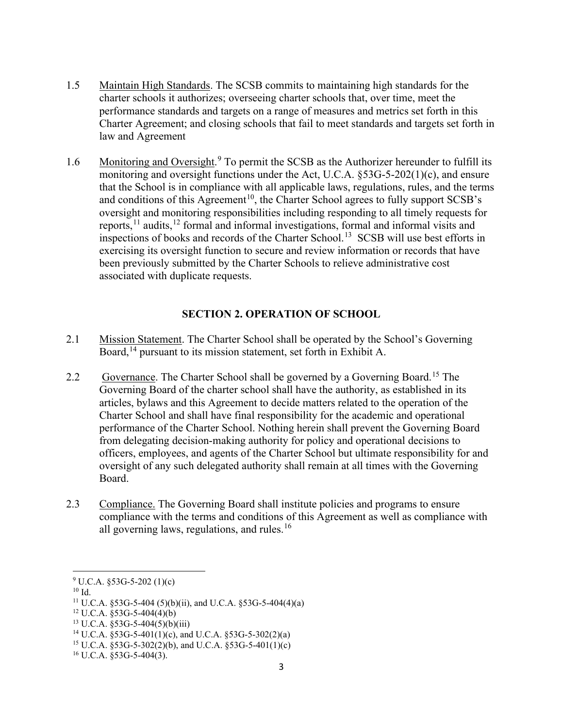- 1.5 Maintain High Standards. The SCSB commits to maintaining high standards for the charter schools it authorizes; overseeing charter schools that, over time, meet the performance standards and targets on a range of measures and metrics set forth in this Charter Agreement; and closing schools that fail to meet standards and targets set forth in law and Agreement
- 1.6 Monitoring and Oversight.<sup>[9](#page-2-0)</sup> To permit the SCSB as the Authorizer hereunder to fulfill its monitoring and oversight functions under the Act, U.C.A. §53G-5-202(1)(c), and ensure that the School is in compliance with all applicable laws, regulations, rules, and the terms and conditions of this Agreement<sup>10</sup>, the Charter School agrees to fully support SCSB's oversight and monitoring responsibilities including responding to all timely requests for reports,  $11$  audits,  $12$  formal and informal investigations, formal and informal visits and inspections of books and records of the Charter School. [13](#page-2-4) SCSB will use best efforts in exercising its oversight function to secure and review information or records that have been previously submitted by the Charter Schools to relieve administrative cost associated with duplicate requests.

### **SECTION 2. OPERATION OF SCHOOL**

- 2.1 Mission Statement. The Charter School shall be operated by the School's Governing Board, [14](#page-2-5) pursuant to its mission statement, set forth in Exhibit A.
- 2.2 Governance. The Charter School shall be governed by a Governing Board.<sup>[15](#page-2-6)</sup> The Governing Board of the charter school shall have the authority, as established in its articles, bylaws and this Agreement to decide matters related to the operation of the Charter School and shall have final responsibility for the academic and operational performance of the Charter School. Nothing herein shall prevent the Governing Board from delegating decision-making authority for policy and operational decisions to officers, employees, and agents of the Charter School but ultimate responsibility for and oversight of any such delegated authority shall remain at all times with the Governing Board.
- 2.3 Compliance. The Governing Board shall institute policies and programs to ensure compliance with the terms and conditions of this Agreement as well as compliance with all governing laws, regulations, and rules.<sup>[16](#page-2-7)</sup>

<span id="page-2-0"></span> $9 \text{ U.C.A. } $53\text{G-}5\text{-}202\ (1)(c)$ 

<span id="page-2-1"></span> $10$  Id.

<span id="page-2-2"></span><sup>&</sup>lt;sup>11</sup> U.C.A. §53G-5-404 (5)(b)(ii), and U.C.A. §53G-5-404(4)(a)

<span id="page-2-4"></span><span id="page-2-3"></span> $12$  U.C.A.  $$53G-5-404(4)(b)$ 

 $13 \text{ U.C.A. } $53\text{G-}5-404(5)(b)(iii)$ 

<span id="page-2-5"></span><sup>&</sup>lt;sup>14</sup> U.C.A. §53G-5-401(1)(c), and U.C.A. §53G-5-302(2)(a)

<span id="page-2-6"></span><sup>&</sup>lt;sup>15</sup> U.C.A.  $$53G-5-302(2)$ (b), and U.C.A.  $$53G-5-401(1)$ (c)

<span id="page-2-7"></span> $16$  U.C.A. §53G-5-404(3).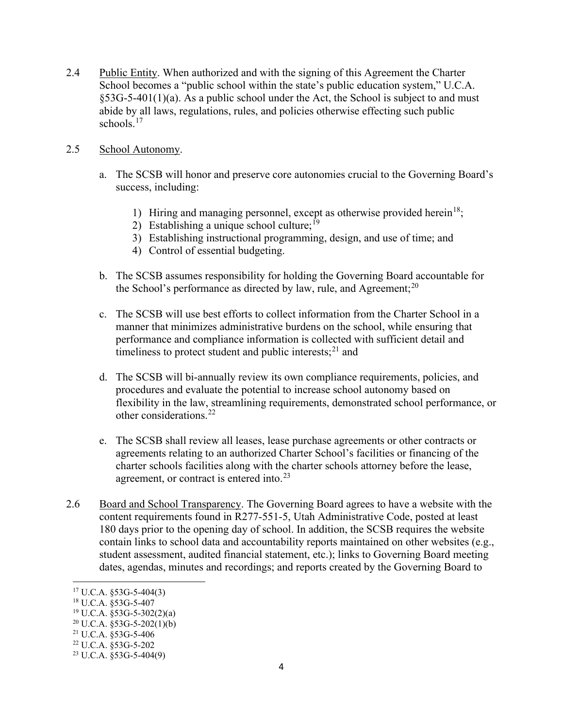2.4 Public Entity. When authorized and with the signing of this Agreement the Charter School becomes a "public school within the state's public education system," U.C.A. §53G-5-401(1)(a). As a public school under the Act, the School is subject to and must abide by all laws, regulations, rules, and policies otherwise effecting such public schools. [17](#page-3-0)

#### 2.5 School Autonomy.

- a. The SCSB will honor and preserve core autonomies crucial to the Governing Board's success, including:
	- 1) Hiring and managing personnel, except as otherwise provided herein<sup>18</sup>;
	- 2) Establishing a unique school culture;  $^{19}$  $^{19}$  $^{19}$
	- 3) Establishing instructional programming, design, and use of time; and
	- 4) Control of essential budgeting.
- b. The SCSB assumes responsibility for holding the Governing Board accountable for the School's performance as directed by law, rule, and Agreement; $^{20}$  $^{20}$  $^{20}$
- c. The SCSB will use best efforts to collect information from the Charter School in a manner that minimizes administrative burdens on the school, while ensuring that performance and compliance information is collected with sufficient detail and timeliness to protect student and public interests; $^{21}$  $^{21}$  $^{21}$  and
- d. The SCSB will bi-annually review its own compliance requirements, policies, and procedures and evaluate the potential to increase school autonomy based on flexibility in the law, streamlining requirements, demonstrated school performance, or other considerations.[22](#page-3-5)
- e. The SCSB shall review all leases, lease purchase agreements or other contracts or agreements relating to an authorized Charter School's facilities or financing of the charter schools facilities along with the charter schools attorney before the lease, agreement, or contract is entered into.<sup>[23](#page-3-6)</sup>
- 2.6 Board and School Transparency. The Governing Board agrees to have a website with the content requirements found in R277-551-5, Utah Administrative Code, posted at least 180 days prior to the opening day of school. In addition, the SCSB requires the website contain links to school data and accountability reports maintained on other websites (e.g., student assessment, audited financial statement, etc.); links to Governing Board meeting dates, agendas, minutes and recordings; and reports created by the Governing Board to

<span id="page-3-0"></span><sup>17</sup> U.C.A. §53G-5-404(3)

<span id="page-3-1"></span><sup>18</sup> U.C.A. §53G-5-407

<span id="page-3-2"></span> $19 \text{ U.C.A. }$  §53G-5-302(2)(a)

<span id="page-3-3"></span> $20$  U.C.A. §53G-5-202(1)(b)

<span id="page-3-4"></span><sup>21</sup> U.C.A. §53G-5-406

<span id="page-3-5"></span><sup>22</sup> U.C.A. §53G-5-202

<span id="page-3-6"></span> $23$  U.C.A. §53G-5-404(9)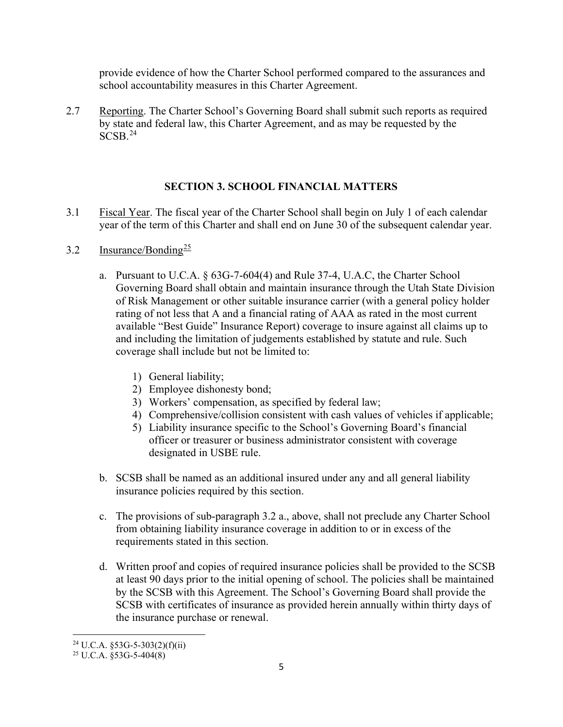provide evidence of how the Charter School performed compared to the assurances and school accountability measures in this Charter Agreement.

2.7 Reporting. The Charter School's Governing Board shall submit such reports as required by state and federal law, this Charter Agreement, and as may be requested by the SCSB. [24](#page-4-0)

## **SECTION 3. SCHOOL FINANCIAL MATTERS**

- 3.1 Fiscal Year. The fiscal year of the Charter School shall begin on July 1 of each calendar year of the term of this Charter and shall end on June 30 of the subsequent calendar year.
- 3.2 Insurance/Bonding $\frac{25}{2}$  $\frac{25}{2}$  $\frac{25}{2}$ 
	- a. Pursuant to U.C.A. § 63G-7-604(4) and Rule 37-4, U.A.C, the Charter School Governing Board shall obtain and maintain insurance through the Utah State Division of Risk Management or other suitable insurance carrier (with a general policy holder rating of not less that A and a financial rating of AAA as rated in the most current available "Best Guide" Insurance Report) coverage to insure against all claims up to and including the limitation of judgements established by statute and rule. Such coverage shall include but not be limited to:
		- 1) General liability;
		- 2) Employee dishonesty bond;
		- 3) Workers' compensation, as specified by federal law;
		- 4) Comprehensive/collision consistent with cash values of vehicles if applicable;
		- 5) Liability insurance specific to the School's Governing Board's financial officer or treasurer or business administrator consistent with coverage designated in USBE rule.
	- b. SCSB shall be named as an additional insured under any and all general liability insurance policies required by this section.
	- c. The provisions of sub-paragraph 3.2 a., above, shall not preclude any Charter School from obtaining liability insurance coverage in addition to or in excess of the requirements stated in this section.
	- d. Written proof and copies of required insurance policies shall be provided to the SCSB at least 90 days prior to the initial opening of school. The policies shall be maintained by the SCSB with this Agreement. The School's Governing Board shall provide the SCSB with certificates of insurance as provided herein annually within thirty days of the insurance purchase or renewal.

<span id="page-4-0"></span> $^{24}$  U.C.A.  $$53G-5-303(2)(f)(ii)$ 

<span id="page-4-1"></span> $25$  U.C.A. §53G-5-404(8)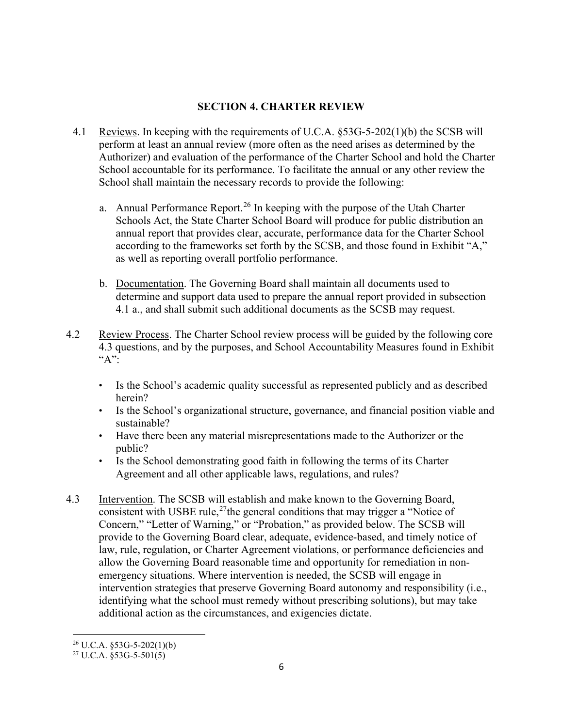## **SECTION 4. CHARTER REVIEW**

- 4.1 Reviews. In keeping with the requirements of U.C.A. §53G-5-202(1)(b) the SCSB will perform at least an annual review (more often as the need arises as determined by the Authorizer) and evaluation of the performance of the Charter School and hold the Charter School accountable for its performance. To facilitate the annual or any other review the School shall maintain the necessary records to provide the following:
	- a. Annual Performance Report.<sup>[26](#page-5-0)</sup> In keeping with the purpose of the Utah Charter Schools Act, the State Charter School Board will produce for public distribution an annual report that provides clear, accurate, performance data for the Charter School according to the frameworks set forth by the SCSB, and those found in Exhibit "A," as well as reporting overall portfolio performance.
	- b. Documentation. The Governing Board shall maintain all documents used to determine and support data used to prepare the annual report provided in subsection 4.1 a., and shall submit such additional documents as the SCSB may request.
- 4.2 Review Process. The Charter School review process will be guided by the following core 4.3 questions, and by the purposes, and School Accountability Measures found in Exhibit "A":
	- Is the School's academic quality successful as represented publicly and as described herein?
	- Is the School's organizational structure, governance, and financial position viable and sustainable?
	- Have there been any material misrepresentations made to the Authorizer or the public?
	- Is the School demonstrating good faith in following the terms of its Charter Agreement and all other applicable laws, regulations, and rules?
- 4.3 Intervention. The SCSB will establish and make known to the Governing Board, consistent with USBE rule,<sup>27</sup>the general conditions that may trigger a "Notice of Concern," "Letter of Warning," or "Probation," as provided below. The SCSB will provide to the Governing Board clear, adequate, evidence-based, and timely notice of law, rule, regulation, or Charter Agreement violations, or performance deficiencies and allow the Governing Board reasonable time and opportunity for remediation in nonemergency situations. Where intervention is needed, the SCSB will engage in intervention strategies that preserve Governing Board autonomy and responsibility (i.e., identifying what the school must remedy without prescribing solutions), but may take additional action as the circumstances, and exigencies dictate.

 $^{26}$  U.C.A.  $$53G-5-202(1)(b)$ 

<span id="page-5-1"></span><span id="page-5-0"></span> $27 \text{ U.C.A. }$ §53G-5-501(5)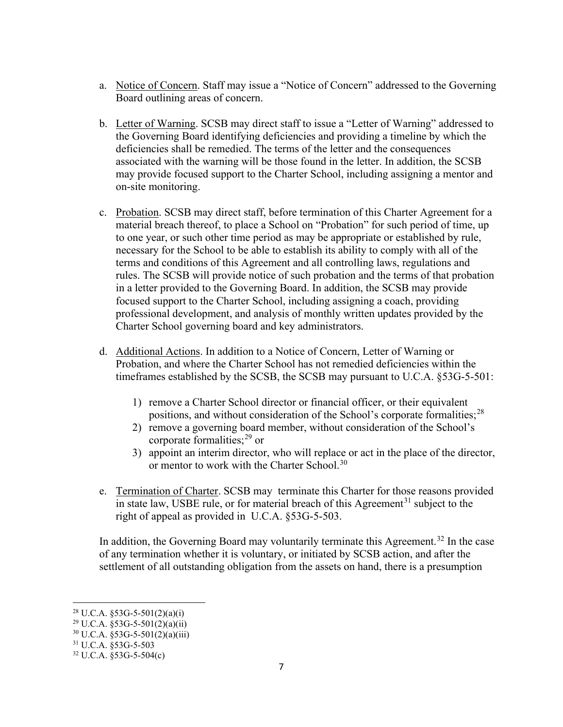- a. Notice of Concern. Staff may issue a "Notice of Concern" addressed to the Governing Board outlining areas of concern.
- b. Letter of Warning. SCSB may direct staff to issue a "Letter of Warning" addressed to the Governing Board identifying deficiencies and providing a timeline by which the deficiencies shall be remedied. The terms of the letter and the consequences associated with the warning will be those found in the letter. In addition, the SCSB may provide focused support to the Charter School, including assigning a mentor and on-site monitoring.
- c. Probation. SCSB may direct staff, before termination of this Charter Agreement for a material breach thereof, to place a School on "Probation" for such period of time, up to one year, or such other time period as may be appropriate or established by rule, necessary for the School to be able to establish its ability to comply with all of the terms and conditions of this Agreement and all controlling laws, regulations and rules. The SCSB will provide notice of such probation and the terms of that probation in a letter provided to the Governing Board. In addition, the SCSB may provide focused support to the Charter School, including assigning a coach, providing professional development, and analysis of monthly written updates provided by the Charter School governing board and key administrators.
- d. Additional Actions. In addition to a Notice of Concern, Letter of Warning or Probation, and where the Charter School has not remedied deficiencies within the timeframes established by the SCSB, the SCSB may pursuant to U.C.A. §53G-5-501:
	- 1) remove a Charter School director or financial officer, or their equivalent positions, and without consideration of the School's corporate formalities; $^{28}$  $^{28}$  $^{28}$
	- 2) remove a governing board member, without consideration of the School's corporate formalities;[29](#page-6-1) or
	- 3) appoint an interim director, who will replace or act in the place of the director, or mentor to work with the Charter School.<sup>[30](#page-6-2)</sup>
- e. Termination of Charter. SCSB may terminate this Charter for those reasons provided in state law, USBE rule, or for material breach of this Agreement<sup>[31](#page-6-3)</sup> subject to the right of appeal as provided in U.C.A. §53G-5-503.

In addition, the Governing Board may voluntarily terminate this Agreement.<sup>[32](#page-6-4)</sup> In the case of any termination whether it is voluntary, or initiated by SCSB action, and after the settlement of all outstanding obligation from the assets on hand, there is a presumption

<span id="page-6-0"></span><sup>&</sup>lt;sup>28</sup> U.C.A.  $$53G-5-501(2)(a)(i)$ 

<span id="page-6-1"></span> $29 \text{ U.C.A. } $53\text{G}-5-501(2)(\text{a})(\text{ii})$ 

<span id="page-6-2"></span> $30 \text{ U.C.A. } $53\text{G-}5-501(2)(a)(iii)$ 

<span id="page-6-3"></span><sup>31</sup> U.C.A. §53G-5-503

<span id="page-6-4"></span><sup>32</sup> U.C.A. §53G-5-504(c)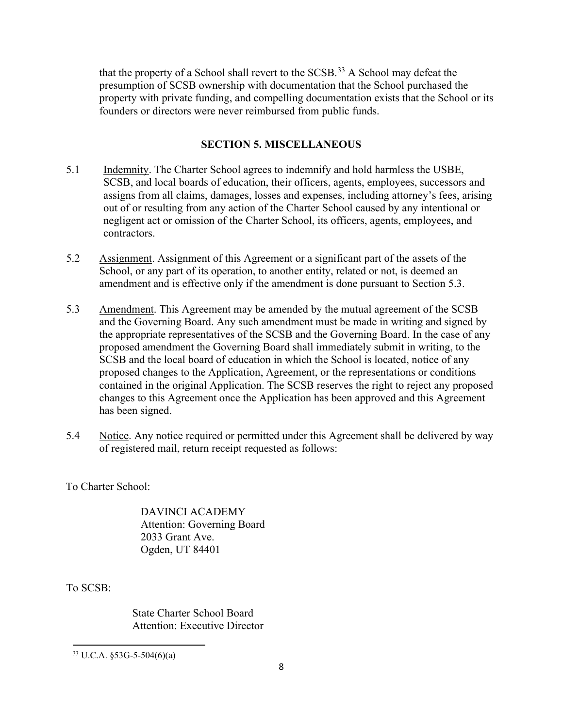that the property of a School shall revert to the SCSB.<sup>[33](#page-7-0)</sup> A School may defeat the presumption of SCSB ownership with documentation that the School purchased the property with private funding, and compelling documentation exists that the School or its founders or directors were never reimbursed from public funds.

### **SECTION 5. MISCELLANEOUS**

- 5.1 Indemnity. The Charter School agrees to indemnify and hold harmless the USBE, SCSB, and local boards of education, their officers, agents, employees, successors and assigns from all claims, damages, losses and expenses, including attorney's fees, arising out of or resulting from any action of the Charter School caused by any intentional or negligent act or omission of the Charter School, its officers, agents, employees, and contractors.
- 5.2 Assignment. Assignment of this Agreement or a significant part of the assets of the School, or any part of its operation, to another entity, related or not, is deemed an amendment and is effective only if the amendment is done pursuant to Section 5.3.
- 5.3 Amendment. This Agreement may be amended by the mutual agreement of the SCSB and the Governing Board. Any such amendment must be made in writing and signed by the appropriate representatives of the SCSB and the Governing Board. In the case of any proposed amendment the Governing Board shall immediately submit in writing, to the SCSB and the local board of education in which the School is located, notice of any proposed changes to the Application, Agreement, or the representations or conditions contained in the original Application. The SCSB reserves the right to reject any proposed changes to this Agreement once the Application has been approved and this Agreement has been signed.
- 5.4 Notice. Any notice required or permitted under this Agreement shall be delivered by way of registered mail, return receipt requested as follows:

To Charter School:

DAVINCI ACADEMY Attention: Governing Board 2033 Grant Ave. Ogden, UT 84401

To SCSB:

State Charter School Board Attention: Executive Director

<span id="page-7-0"></span> $33 \text{ U.C.A. }$ §53G-5-504(6)(a)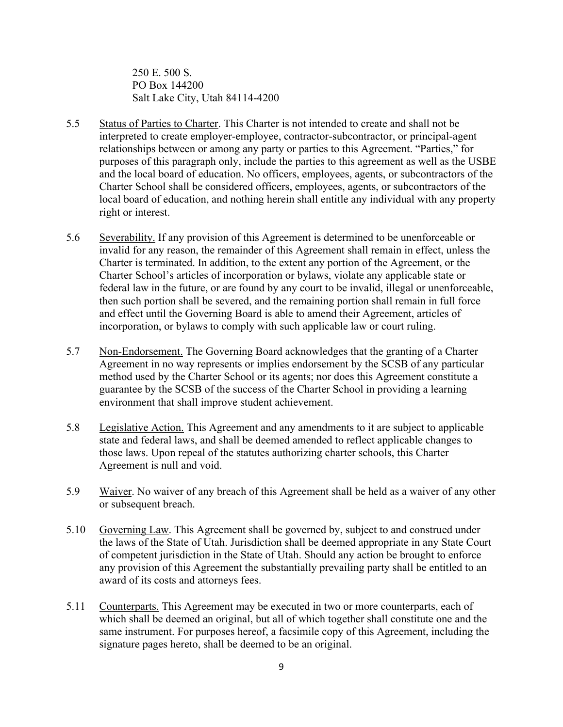250 E. 500 S. PO Box 144200 Salt Lake City, Utah 84114-4200

- 5.5 Status of Parties to Charter. This Charter is not intended to create and shall not be interpreted to create employer-employee, contractor-subcontractor, or principal-agent relationships between or among any party or parties to this Agreement. "Parties," for purposes of this paragraph only, include the parties to this agreement as well as the USBE and the local board of education. No officers, employees, agents, or subcontractors of the Charter School shall be considered officers, employees, agents, or subcontractors of the local board of education, and nothing herein shall entitle any individual with any property right or interest.
- 5.6 Severability. If any provision of this Agreement is determined to be unenforceable or invalid for any reason, the remainder of this Agreement shall remain in effect, unless the Charter is terminated. In addition, to the extent any portion of the Agreement, or the Charter School's articles of incorporation or bylaws, violate any applicable state or federal law in the future, or are found by any court to be invalid, illegal or unenforceable, then such portion shall be severed, and the remaining portion shall remain in full force and effect until the Governing Board is able to amend their Agreement, articles of incorporation, or bylaws to comply with such applicable law or court ruling.
- 5.7 Non-Endorsement. The Governing Board acknowledges that the granting of a Charter Agreement in no way represents or implies endorsement by the SCSB of any particular method used by the Charter School or its agents; nor does this Agreement constitute a guarantee by the SCSB of the success of the Charter School in providing a learning environment that shall improve student achievement.
- 5.8 Legislative Action. This Agreement and any amendments to it are subject to applicable state and federal laws, and shall be deemed amended to reflect applicable changes to those laws. Upon repeal of the statutes authorizing charter schools, this Charter Agreement is null and void.
- 5.9 Waiver. No waiver of any breach of this Agreement shall be held as a waiver of any other or subsequent breach.
- 5.10 Governing Law. This Agreement shall be governed by, subject to and construed under the laws of the State of Utah. Jurisdiction shall be deemed appropriate in any State Court of competent jurisdiction in the State of Utah. Should any action be brought to enforce any provision of this Agreement the substantially prevailing party shall be entitled to an award of its costs and attorneys fees.
- 5.11 Counterparts. This Agreement may be executed in two or more counterparts, each of which shall be deemed an original, but all of which together shall constitute one and the same instrument. For purposes hereof, a facsimile copy of this Agreement, including the signature pages hereto, shall be deemed to be an original.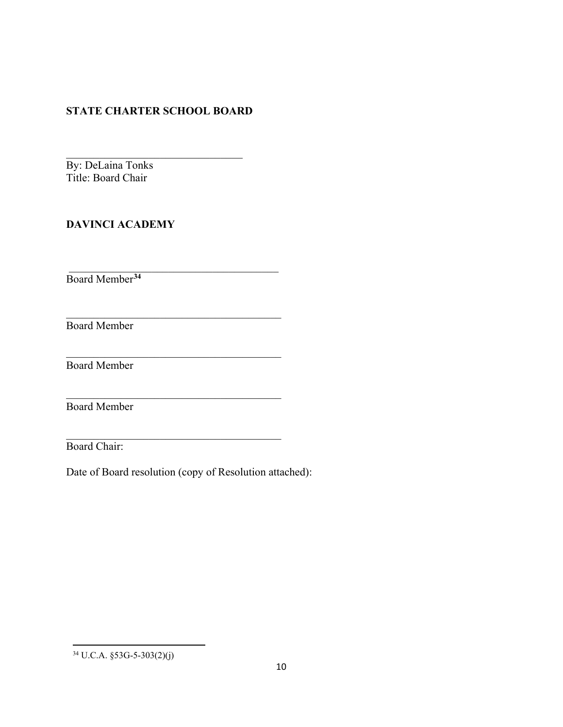## **STATE CHARTER SCHOOL BOARD**

 $\mathcal{L}_\text{max}$  and  $\mathcal{L}_\text{max}$  and  $\mathcal{L}_\text{max}$  and  $\mathcal{L}_\text{max}$ 

\_\_\_\_\_\_\_\_\_\_\_\_\_\_\_\_\_\_\_\_\_\_\_\_\_\_\_\_\_\_\_\_\_\_\_\_\_\_\_

\_\_\_\_\_\_\_\_\_\_\_\_\_\_\_\_\_\_\_\_\_\_\_\_\_\_\_\_\_\_\_\_\_\_\_\_\_\_\_

\_\_\_\_\_\_\_\_\_\_\_\_\_\_\_\_\_\_\_\_\_\_\_\_\_\_\_\_\_\_\_\_\_\_\_\_\_\_\_

 $\mathcal{L}_\text{max}$  , which is a set of the set of the set of the set of the set of the set of the set of the set of the set of the set of the set of the set of the set of the set of the set of the set of the set of the set of By: DeLaina Tonks Title: Board Chair

# **DAVINCI ACADEMY**

Board Member**[34](#page-9-0)**

Board Member

Board Member

Board Member

Board Chair:

Date of Board resolution (copy of Resolution attached):

<span id="page-9-0"></span><sup>34</sup> U.C.A. §53G-5-303(2)(j)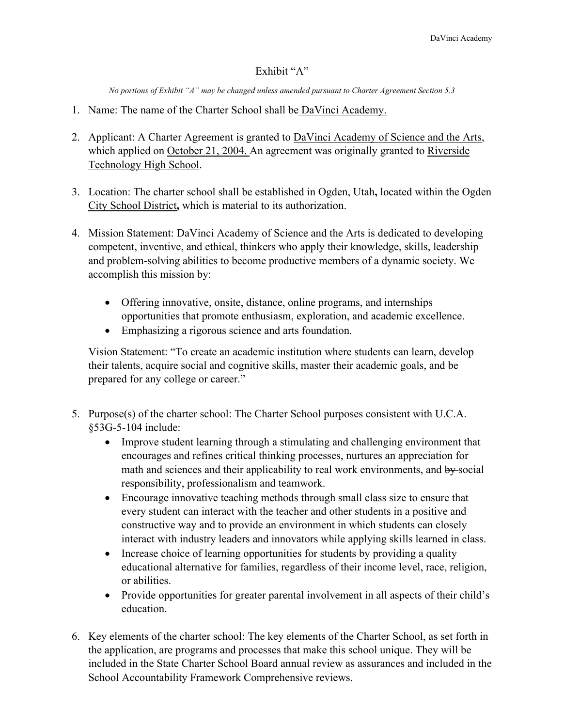### Exhibit "A"

*No portions of Exhibit "A" may be changed unless amended pursuant to Charter Agreement Section 5.3*

- 1. Name: The name of the Charter School shall be DaVinci Academy.
- 2. Applicant: A Charter Agreement is granted to DaVinci Academy of Science and the Arts, which applied on October 21, 2004. An agreement was originally granted to Riverside Technology High School.
- 3. Location: The charter school shall be established in Ogden, Utah**,** located within the Ogden City School District**,** which is material to its authorization.
- 4. Mission Statement: DaVinci Academy of Science and the Arts is dedicated to developing competent, inventive, and ethical, thinkers who apply their knowledge, skills, leadership and problem-solving abilities to become productive members of a dynamic society. We accomplish this mission by:
	- Offering innovative, onsite, distance, online programs, and internships opportunities that promote enthusiasm, exploration, and academic excellence.
	- Emphasizing a rigorous science and arts foundation.

Vision Statement: "To create an academic institution where students can learn, develop their talents, acquire social and cognitive skills, master their academic goals, and be prepared for any college or career."

- 5. Purpose(s) of the charter school: The Charter School purposes consistent with U.C.A. §53G-5-104 include:
	- Improve student learning through a stimulating and challenging environment that encourages and refines critical thinking processes, nurtures an appreciation for math and sciences and their applicability to real work environments, and by social responsibility, professionalism and teamwork.
	- Encourage innovative teaching methods through small class size to ensure that every student can interact with the teacher and other students in a positive and constructive way and to provide an environment in which students can closely interact with industry leaders and innovators while applying skills learned in class.
	- Increase choice of learning opportunities for students by providing a quality educational alternative for families, regardless of their income level, race, religion, or abilities.
	- Provide opportunities for greater parental involvement in all aspects of their child's education.
- 6. Key elements of the charter school: The key elements of the Charter School, as set forth in the application, are programs and processes that make this school unique. They will be included in the State Charter School Board annual review as assurances and included in the School Accountability Framework Comprehensive reviews.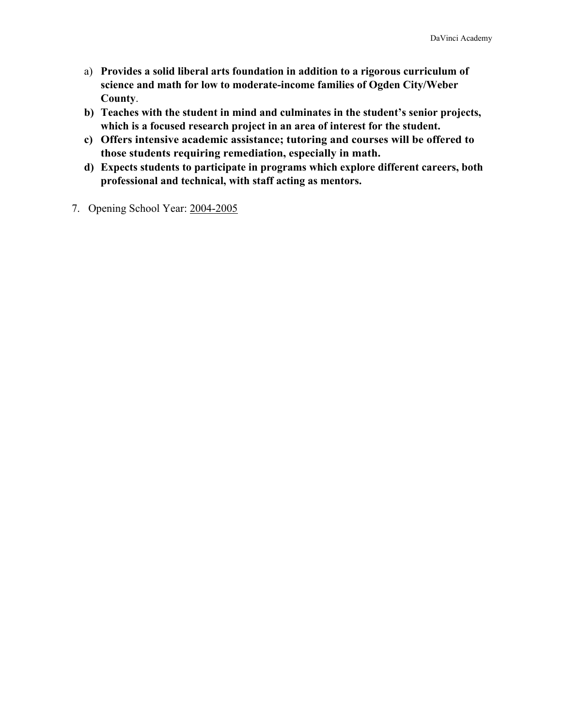- a) **Provides a solid liberal arts foundation in addition to a rigorous curriculum of science and math for low to moderate-income families of Ogden City/Weber County**.
- **b) Teaches with the student in mind and culminates in the student's senior projects, which is a focused research project in an area of interest for the student.**
- **c) Offers intensive academic assistance; tutoring and courses will be offered to those students requiring remediation, especially in math.**
- **d) Expects students to participate in programs which explore different careers, both professional and technical, with staff acting as mentors.**
- 7. Opening School Year: 2004-2005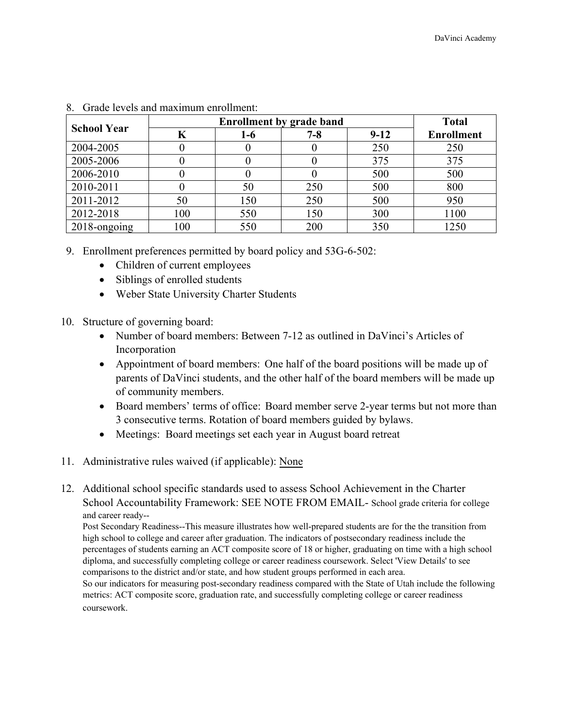| <b>School Year</b> |     | <b>Total</b> |         |        |                   |
|--------------------|-----|--------------|---------|--------|-------------------|
|                    | K   | $1-6$        | $7 - 8$ | $9-12$ | <b>Enrollment</b> |
| 2004-2005          |     |              |         | 250    | 250               |
| 2005-2006          |     |              |         | 375    | 375               |
| 2006-2010          |     |              |         | 500    | 500               |
| 2010-2011          |     | 50           | 250     | 500    | 800               |
| 2011-2012          | 50  | 150          | 250     | 500    | 950               |
| 2012-2018          | 100 | 550          | 150     | 300    | 1100              |
| 2018-ongoing       | 100 | 550          | 200     | 350    | 1250              |

| 8. Grade levels and maximum enrollment: |  |  |
|-----------------------------------------|--|--|
|                                         |  |  |

- 9. Enrollment preferences permitted by board policy and 53G-6-502:
	- Children of current employees
	- Siblings of enrolled students
	- Weber State University Charter Students
- 10. Structure of governing board:
	- Number of board members: Between 7-12 as outlined in DaVinci's Articles of Incorporation
	- Appointment of board members: One half of the board positions will be made up of parents of DaVinci students, and the other half of the board members will be made up of community members.
	- Board members' terms of office: Board member serve 2-year terms but not more than 3 consecutive terms. Rotation of board members guided by bylaws.
	- Meetings: Board meetings set each year in August board retreat
- 11. Administrative rules waived (if applicable): None
- 12. Additional school specific standards used to assess School Achievement in the Charter School Accountability Framework: SEE NOTE FROM EMAIL- School grade criteria for college and career ready--

Post Secondary Readiness--This measure illustrates how well-prepared students are for the the transition from high school to college and career after graduation. The indicators of postsecondary readiness include the percentages of students earning an ACT composite score of 18 or higher, graduating on time with a high school diploma, and successfully completing college or career readiness coursework. Select 'View Details' to see comparisons to the district and/or state, and how student groups performed in each area. So our indicators for measuring post-secondary readiness compared with the State of Utah include the following metrics: ACT composite score, graduation rate, and successfully completing college or career readiness coursework.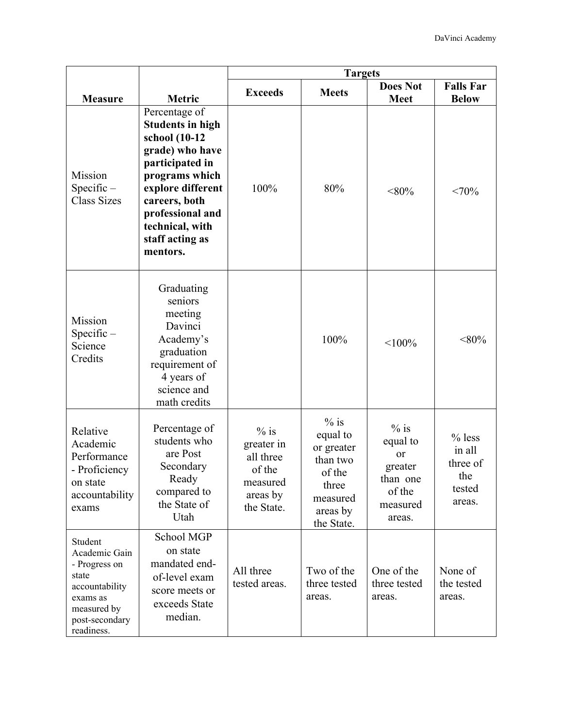|                                                                                                                                 |                                                                                                                                                                                                                               | <b>Targets</b>                                                                    |                                                                                                       |                                                                                 |                                                           |  |
|---------------------------------------------------------------------------------------------------------------------------------|-------------------------------------------------------------------------------------------------------------------------------------------------------------------------------------------------------------------------------|-----------------------------------------------------------------------------------|-------------------------------------------------------------------------------------------------------|---------------------------------------------------------------------------------|-----------------------------------------------------------|--|
| <b>Measure</b>                                                                                                                  | Metric                                                                                                                                                                                                                        | <b>Exceeds</b>                                                                    | <b>Meets</b>                                                                                          | <b>Does Not</b><br><b>Meet</b>                                                  | <b>Falls Far</b><br><b>Below</b>                          |  |
| Mission<br>$Specific -$<br><b>Class Sizes</b>                                                                                   | Percentage of<br><b>Students in high</b><br>school (10-12<br>grade) who have<br>participated in<br>programs which<br>explore different<br>careers, both<br>professional and<br>technical, with<br>staff acting as<br>mentors. | 100%                                                                              | 80%                                                                                                   | $< 80\%$                                                                        | <70%                                                      |  |
| Mission<br>$Specific -$<br>Science<br>Credits                                                                                   | Graduating<br>seniors<br>meeting<br>Davinci<br>Academy's<br>graduation<br>requirement of<br>4 years of<br>science and<br>math credits                                                                                         |                                                                                   | 100%                                                                                                  | $< 100\%$                                                                       | $<$ 80%                                                   |  |
| Relative<br>Academic<br>Performance<br>- Proficiency<br>on state<br>accountability<br>exams                                     | Percentage of<br>students who<br>are Post<br>Secondary<br>Ready<br>compared to<br>the State of<br>Utah                                                                                                                        | $%$ is<br>greater in<br>all three<br>of the<br>measured<br>areas by<br>the State. | $%$ is<br>equal to<br>or greater<br>than two<br>of the<br>three<br>measured<br>areas by<br>the State. | $%$ is<br>equal to<br>or<br>greater<br>than one<br>of the<br>measured<br>areas. | $%$ less<br>in all<br>three of<br>the<br>tested<br>areas. |  |
| Student<br>Academic Gain<br>- Progress on<br>state<br>accountability<br>exams as<br>measured by<br>post-secondary<br>readiness. | School MGP<br>on state<br>mandated end-<br>of-level exam<br>score meets or<br>exceeds State<br>median.                                                                                                                        | All three<br>tested areas.                                                        | Two of the<br>three tested<br>areas.                                                                  | One of the<br>three tested<br>areas.                                            | None of<br>the tested<br>areas.                           |  |